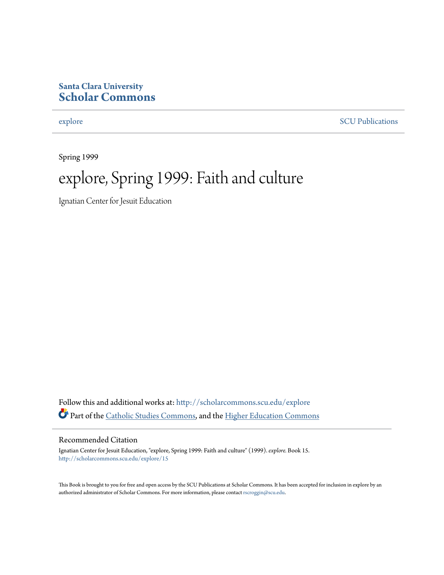### **Santa Clara University [Scholar Commons](http://scholarcommons.scu.edu?utm_source=scholarcommons.scu.edu%2Fexplore%2F15&utm_medium=PDF&utm_campaign=PDFCoverPages)**

[explore](http://scholarcommons.scu.edu/explore?utm_source=scholarcommons.scu.edu%2Fexplore%2F15&utm_medium=PDF&utm_campaign=PDFCoverPages) [SCU Publications](http://scholarcommons.scu.edu/scu_pubs?utm_source=scholarcommons.scu.edu%2Fexplore%2F15&utm_medium=PDF&utm_campaign=PDFCoverPages)

Spring 1999

## explore, Spring 1999: Faith and culture

Ignatian Center for Jesuit Education

Follow this and additional works at: [http://scholarcommons.scu.edu/explore](http://scholarcommons.scu.edu/explore?utm_source=scholarcommons.scu.edu%2Fexplore%2F15&utm_medium=PDF&utm_campaign=PDFCoverPages) Part of the [Catholic Studies Commons,](http://network.bepress.com/hgg/discipline/1294?utm_source=scholarcommons.scu.edu%2Fexplore%2F15&utm_medium=PDF&utm_campaign=PDFCoverPages) and the [Higher Education Commons](http://network.bepress.com/hgg/discipline/1245?utm_source=scholarcommons.scu.edu%2Fexplore%2F15&utm_medium=PDF&utm_campaign=PDFCoverPages)

#### Recommended Citation

Ignatian Center for Jesuit Education, "explore, Spring 1999: Faith and culture" (1999). *explore.* Book 15. [http://scholarcommons.scu.edu/explore/15](http://scholarcommons.scu.edu/explore/15?utm_source=scholarcommons.scu.edu%2Fexplore%2F15&utm_medium=PDF&utm_campaign=PDFCoverPages)

This Book is brought to you for free and open access by the SCU Publications at Scholar Commons. It has been accepted for inclusion in explore by an authorized administrator of Scholar Commons. For more information, please contact [rscroggin@scu.edu.](mailto:rscroggin@scu.edu)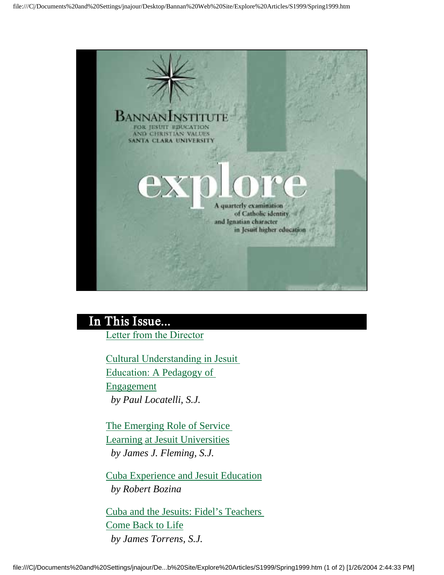

### In This Issue...

Letter from the Director

Cultural Understanding in Jesuit Education: A Pedagogy of Engagement  *by Paul Locatelli, S.J.* 

The Emerging Role of Service Learning at Jesuit Universities  *by James J. Fleming, S.J.* 

Cuba Experience and Jesuit Education  *by Robert Bozina* 

Cuba and the Jesuits: Fidel's Teachers Come Back to Life  *by James Torrens, S.J.*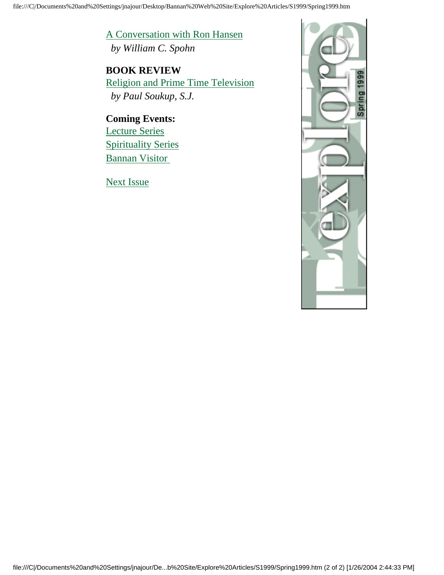A Conversation with Ron Hansen  *by William C. Spohn* 

**BOOK REVIEW** Religion and Prime Time Television  *by Paul Soukup, S.J.* 

**Coming Events:** Lecture Series Spirituality Series Bannan Visitor

Next Issue

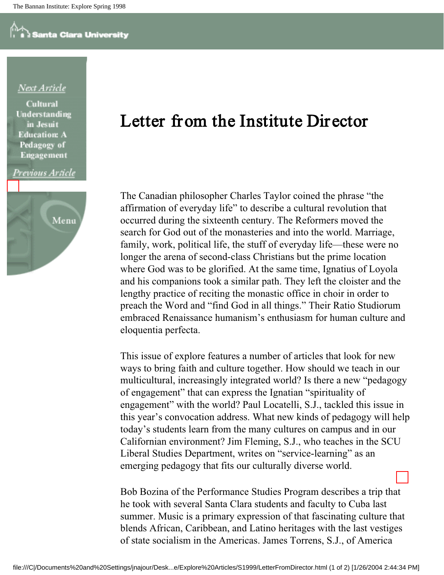### Next Article

**Cultural** Understanding in Jesuit **Education: A** Pedagogy of **Engagement** 

#### Previous Article



### Letter from the Institute Dir ector

The Canadian philosopher Charles Taylor coined the phrase "the affirmation of everyday life" to describe a cultural revolution that occurred during the sixteenth century. The Reformers moved the search for God out of the monasteries and into the world. Marriage, family, work, political life, the stuff of everyday life—these were no longer the arena of second-class Christians but the prime location where God was to be glorified. At the same time, Ignatius of Loyola and his companions took a similar path. They left the cloister and the lengthy practice of reciting the monastic office in choir in order to preach the Word and "find God in all things." Their Ratio Studiorum embraced Renaissance humanism's enthusiasm for human culture and eloquentia perfecta.

This issue of explore features a number of articles that look for new ways to bring faith and culture together. How should we teach in our multicultural, increasingly integrated world? Is there a new "pedagogy of engagement" that can express the Ignatian "spirituality of engagement" with the world? Paul Locatelli, S.J., tackled this issue in this year's convocation address. What new kinds of pedagogy will help today's students learn from the many cultures on campus and in our Californian environment? Jim Fleming, S.J., who teaches in the SCU Liberal Studies Department, writes on "service-learning" as an emerging pedagogy that fits our culturally diverse world.

Bob Bozina of the Performance Studies Program describes a trip that he took with several Santa Clara students and faculty to Cuba last summer. Music is a primary expression of that fascinating culture that blends African, Caribbean, and Latino heritages with the last vestiges of state socialism in the Americas. James Torrens, S.J., of America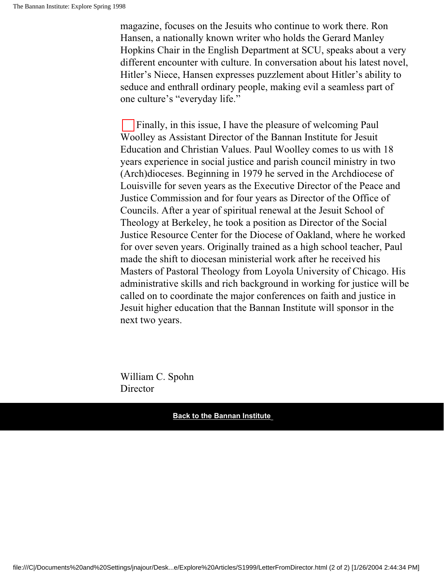magazine, focuses on the Jesuits who continue to work there. Ron Hansen, a nationally known writer who holds the Gerard Manley Hopkins Chair in the English Department at SCU, speaks about a very different encounter with culture. In conversation about his latest novel, Hitler's Niece, Hansen expresses puzzlement about Hitler's ability to seduce and enthrall ordinary people, making evil a seamless part of one culture's "everyday life."

Finally, in this issue, I have the pleasure of welcoming Paul Woolley as Assistant Director of the Bannan Institute for Jesuit Education and Christian Values. Paul Woolley comes to us with 18 years experience in social justice and parish council ministry in two (Arch)dioceses. Beginning in 1979 he served in the Archdiocese of Louisville for seven years as the Executive Director of the Peace and Justice Commission and for four years as Director of the Office of Councils. After a year of spiritual renewal at the Jesuit School of Theology at Berkeley, he took a position as Director of the Social Justice Resource Center for the Diocese of Oakland, where he worked for over seven years. Originally trained as a high school teacher, Paul made the shift to diocesan ministerial work after he received his Masters of Pastoral Theology from Loyola University of Chicago. His administrative skills and rich background in working for justice will be called on to coordinate the major conferences on faith and justice in Jesuit higher education that the Bannan Institute will sponsor in the next two years.

William C. Spohn **Director**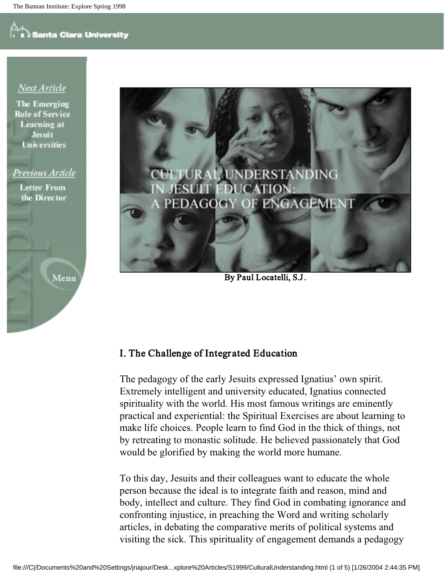### Next Article

**The Emerging Role of Service** Learning at **Jesuit Universities** 

### Previous Article

**Letter From** the Director

Menu



By Paul Locatelli, S.J.

### I. The Challenge of Integr ated Education

The pedagogy of the early Jesuits expressed Ignatius' own spirit. Extremely intelligent and university educated, Ignatius connected spirituality with the world. His most famous writings are eminently practical and experiential: the Spiritual Exercises are about learning to make life choices. People learn to find God in the thick of things, not by retreating to monastic solitude. He believed passionately that God would be glorified by making the world more humane.

To this day, Jesuits and their colleagues want to educate the whole person because the ideal is to integrate faith and reason, mind and body, intellect and culture. They find God in combating ignorance and confronting injustice, in preaching the Word and writing scholarly articles, in debating the comparative merits of political systems and visiting the sick. This spirituality of engagement demands a pedagogy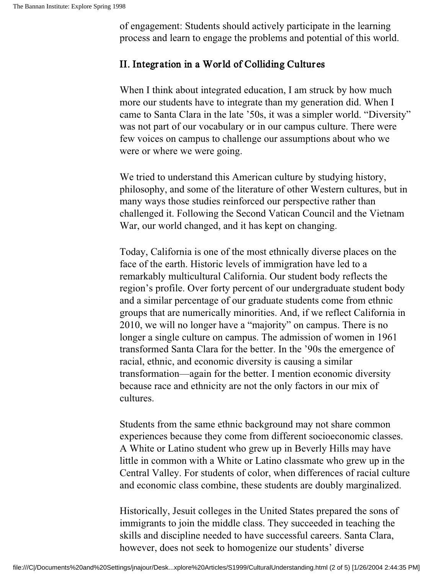of engagement: Students should actively participate in the learning process and learn to engage the problems and potential of this world.

### II. Integration in a World of Colliding Cultures

When I think about integrated education, I am struck by how much more our students have to integrate than my generation did. When I came to Santa Clara in the late '50s, it was a simpler world. "Diversity" was not part of our vocabulary or in our campus culture. There were few voices on campus to challenge our assumptions about who we were or where we were going.

We tried to understand this American culture by studying history, philosophy, and some of the literature of other Western cultures, but in many ways those studies reinforced our perspective rather than challenged it. Following the Second Vatican Council and the Vietnam War, our world changed, and it has kept on changing.

Today, California is one of the most ethnically diverse places on the face of the earth. Historic levels of immigration have led to a remarkably multicultural California. Our student body reflects the region's profile. Over forty percent of our undergraduate student body and a similar percentage of our graduate students come from ethnic groups that are numerically minorities. And, if we reflect California in 2010, we will no longer have a "majority" on campus. There is no longer a single culture on campus. The admission of women in 1961 transformed Santa Clara for the better. In the '90s the emergence of racial, ethnic, and economic diversity is causing a similar transformation—again for the better. I mention economic diversity because race and ethnicity are not the only factors in our mix of cultures.

Students from the same ethnic background may not share common experiences because they come from different socioeconomic classes. A White or Latino student who grew up in Beverly Hills may have little in common with a White or Latino classmate who grew up in the Central Valley. For students of color, when differences of racial culture and economic class combine, these students are doubly marginalized.

Historically, Jesuit colleges in the United States prepared the sons of immigrants to join the middle class. They succeeded in teaching the skills and discipline needed to have successful careers. Santa Clara, however, does not seek to homogenize our students' diverse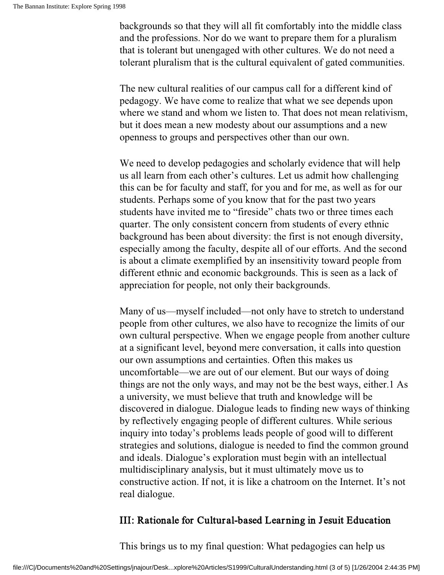backgrounds so that they will all fit comfortably into the middle class and the professions. Nor do we want to prepare them for a pluralism that is tolerant but unengaged with other cultures. We do not need a tolerant pluralism that is the cultural equivalent of gated communities.

The new cultural realities of our campus call for a different kind of pedagogy. We have come to realize that what we see depends upon where we stand and whom we listen to. That does not mean relativism, but it does mean a new modesty about our assumptions and a new openness to groups and perspectives other than our own.

We need to develop pedagogies and scholarly evidence that will help us all learn from each other's cultures. Let us admit how challenging this can be for faculty and staff, for you and for me, as well as for our students. Perhaps some of you know that for the past two years students have invited me to "fireside" chats two or three times each quarter. The only consistent concern from students of every ethnic background has been about diversity: the first is not enough diversity, especially among the faculty, despite all of our efforts. And the second is about a climate exemplified by an insensitivity toward people from different ethnic and economic backgrounds. This is seen as a lack of appreciation for people, not only their backgrounds.

Many of us—myself included—not only have to stretch to understand people from other cultures, we also have to recognize the limits of our own cultural perspective. When we engage people from another culture at a significant level, beyond mere conversation, it calls into question our own assumptions and certainties. Often this makes us uncomfortable—we are out of our element. But our ways of doing things are not the only ways, and may not be the best ways, either.1 As a university, we must believe that truth and knowledge will be discovered in dialogue. Dialogue leads to finding new ways of thinking by reflectively engaging people of different cultures. While serious inquiry into today's problems leads people of good will to different strategies and solutions, dialogue is needed to find the common ground and ideals. Dialogue's exploration must begin with an intellectual multidisciplinary analysis, but it must ultimately move us to constructive action. If not, it is like a chatroom on the Internet. It's not real dialogue.

### III: Rationale for Cultur al-based Learning in Jesuit Education

This brings us to my final question: What pedagogies can help us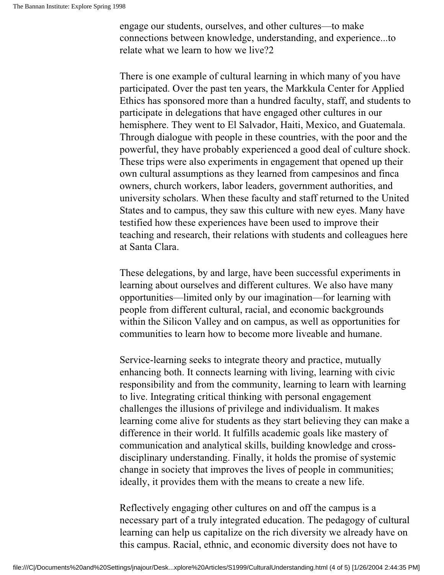engage our students, ourselves, and other cultures—to make connections between knowledge, understanding, and experience...to relate what we learn to how we live?2

There is one example of cultural learning in which many of you have participated. Over the past ten years, the Markkula Center for Applied Ethics has sponsored more than a hundred faculty, staff, and students to participate in delegations that have engaged other cultures in our hemisphere. They went to El Salvador, Haiti, Mexico, and Guatemala. Through dialogue with people in these countries, with the poor and the powerful, they have probably experienced a good deal of culture shock. These trips were also experiments in engagement that opened up their own cultural assumptions as they learned from campesinos and finca owners, church workers, labor leaders, government authorities, and university scholars. When these faculty and staff returned to the United States and to campus, they saw this culture with new eyes. Many have testified how these experiences have been used to improve their teaching and research, their relations with students and colleagues here at Santa Clara.

These delegations, by and large, have been successful experiments in learning about ourselves and different cultures. We also have many opportunities—limited only by our imagination—for learning with people from different cultural, racial, and economic backgrounds within the Silicon Valley and on campus, as well as opportunities for communities to learn how to become more liveable and humane.

Service-learning seeks to integrate theory and practice, mutually enhancing both. It connects learning with living, learning with civic responsibility and from the community, learning to learn with learning to live. Integrating critical thinking with personal engagement challenges the illusions of privilege and individualism. It makes learning come alive for students as they start believing they can make a difference in their world. It fulfills academic goals like mastery of communication and analytical skills, building knowledge and crossdisciplinary understanding. Finally, it holds the promise of systemic change in society that improves the lives of people in communities; ideally, it provides them with the means to create a new life.

Reflectively engaging other cultures on and off the campus is a necessary part of a truly integrated education. The pedagogy of cultural learning can help us capitalize on the rich diversity we already have on this campus. Racial, ethnic, and economic diversity does not have to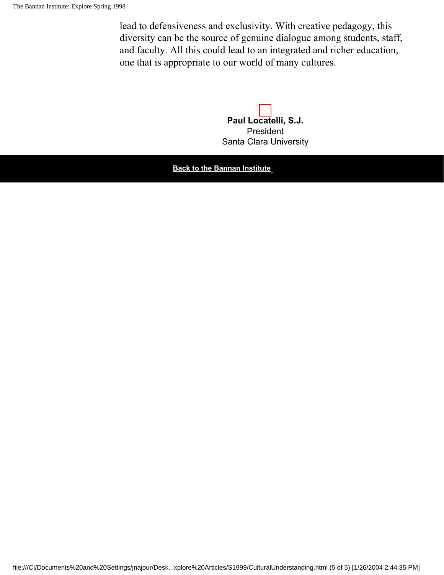lead to defensiveness and exclusivity. With creative pedagogy, this diversity can be the source of genuine dialogue among students, staff, and faculty. All this could lead to an integrated and richer education, one that is appropriate to our world of many cultures.

> **Paul Locatelli, S.J.** President Santa Clara University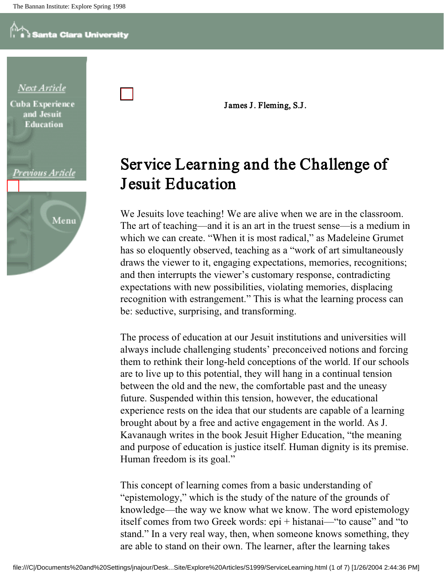

James J. Fleming, S.J.

### Service Learning and the Challenge of Jesuit Education

We Jesuits love teaching! We are alive when we are in the classroom. The art of teaching—and it is an art in the truest sense—is a medium in which we can create. "When it is most radical," as Madeleine Grumet has so eloquently observed, teaching as a "work of art simultaneously draws the viewer to it, engaging expectations, memories, recognitions; and then interrupts the viewer's customary response, contradicting expectations with new possibilities, violating memories, displacing recognition with estrangement." This is what the learning process can be: seductive, surprising, and transforming.

The process of education at our Jesuit institutions and universities will always include challenging students' preconceived notions and forcing them to rethink their long-held conceptions of the world. If our schools are to live up to this potential, they will hang in a continual tension between the old and the new, the comfortable past and the uneasy future. Suspended within this tension, however, the educational experience rests on the idea that our students are capable of a learning brought about by a free and active engagement in the world. As J. Kavanaugh writes in the book Jesuit Higher Education, "the meaning and purpose of education is justice itself. Human dignity is its premise. Human freedom is its goal."

This concept of learning comes from a basic understanding of "epistemology," which is the study of the nature of the grounds of knowledge—the way we know what we know. The word epistemology itself comes from two Greek words: epi + histanai—"to cause" and "to stand." In a very real way, then, when someone knows something, they are able to stand on their own. The learner, after the learning takes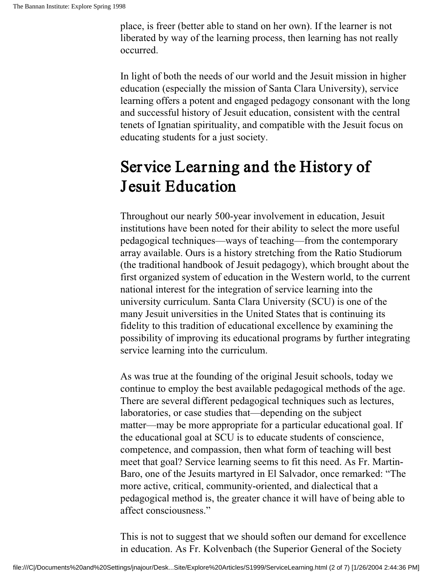place, is freer (better able to stand on her own). If the learner is not liberated by way of the learning process, then learning has not really occurred.

In light of both the needs of our world and the Jesuit mission in higher education (especially the mission of Santa Clara University), service learning offers a potent and engaged pedagogy consonant with the long and successful history of Jesuit education, consistent with the central tenets of Ignatian spirituality, and compatible with the Jesuit focus on educating students for a just society.

### Service Learning and the History of Jesuit Education

Throughout our nearly 500-year involvement in education, Jesuit institutions have been noted for their ability to select the more useful pedagogical techniques—ways of teaching—from the contemporary array available. Ours is a history stretching from the Ratio Studiorum (the traditional handbook of Jesuit pedagogy), which brought about the first organized system of education in the Western world, to the current national interest for the integration of service learning into the university curriculum. Santa Clara University (SCU) is one of the many Jesuit universities in the United States that is continuing its fidelity to this tradition of educational excellence by examining the possibility of improving its educational programs by further integrating service learning into the curriculum.

As was true at the founding of the original Jesuit schools, today we continue to employ the best available pedagogical methods of the age. There are several different pedagogical techniques such as lectures, laboratories, or case studies that—depending on the subject matter—may be more appropriate for a particular educational goal. If the educational goal at SCU is to educate students of conscience, competence, and compassion, then what form of teaching will best meet that goal? Service learning seems to fit this need. As Fr. Martin-Baro, one of the Jesuits martyred in El Salvador, once remarked: "The more active, critical, community-oriented, and dialectical that a pedagogical method is, the greater chance it will have of being able to affect consciousness."

This is not to suggest that we should soften our demand for excellence in education. As Fr. Kolvenbach (the Superior General of the Society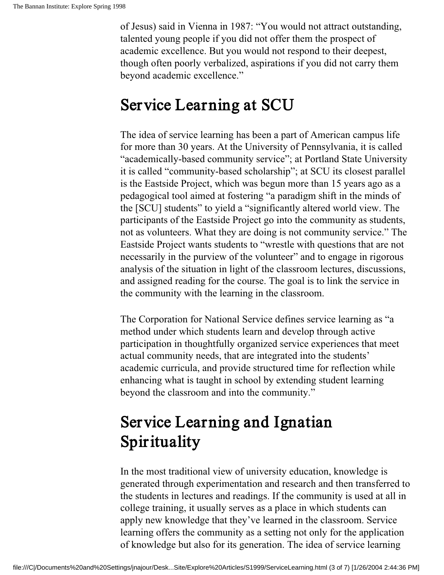of Jesus) said in Vienna in 1987: "You would not attract outstanding, talented young people if you did not offer them the prospect of academic excellence. But you would not respond to their deepest, though often poorly verbalized, aspirations if you did not carry them beyond academic excellence."

### Service Learning at SCU

The idea of service learning has been a part of American campus life for more than 30 years. At the University of Pennsylvania, it is called "academically-based community service"; at Portland State University it is called "community-based scholarship"; at SCU its closest parallel is the Eastside Project, which was begun more than 15 years ago as a pedagogical tool aimed at fostering "a paradigm shift in the minds of the [SCU] students" to yield a "significantly altered world view. The participants of the Eastside Project go into the community as students, not as volunteers. What they are doing is not community service." The Eastside Project wants students to "wrestle with questions that are not necessarily in the purview of the volunteer" and to engage in rigorous analysis of the situation in light of the classroom lectures, discussions, and assigned reading for the course. The goal is to link the service in the community with the learning in the classroom.

The Corporation for National Service defines service learning as "a method under which students learn and develop through active participation in thoughtfully organized service experiences that meet actual community needs, that are integrated into the students' academic curricula, and provide structured time for reflection while enhancing what is taught in school by extending student learning beyond the classroom and into the community."

## Service Learning and Ignatian Spirituality

In the most traditional view of university education, knowledge is generated through experimentation and research and then transferred to the students in lectures and readings. If the community is used at all in college training, it usually serves as a place in which students can apply new knowledge that they've learned in the classroom. Service learning offers the community as a setting not only for the application of knowledge but also for its generation. The idea of service learning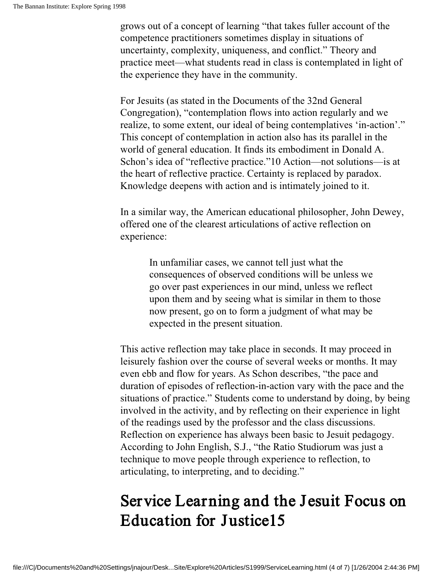grows out of a concept of learning "that takes fuller account of the competence practitioners sometimes display in situations of uncertainty, complexity, uniqueness, and conflict." Theory and practice meet—what students read in class is contemplated in light of the experience they have in the community.

For Jesuits (as stated in the Documents of the 32nd General Congregation), "contemplation flows into action regularly and we realize, to some extent, our ideal of being contemplatives 'in-action'." This concept of contemplation in action also has its parallel in the world of general education. It finds its embodiment in Donald A. Schon's idea of "reflective practice."10 Action—not solutions—is at the heart of reflective practice. Certainty is replaced by paradox. Knowledge deepens with action and is intimately joined to it.

In a similar way, the American educational philosopher, John Dewey, offered one of the clearest articulations of active reflection on experience:

> In unfamiliar cases, we cannot tell just what the consequences of observed conditions will be unless we go over past experiences in our mind, unless we reflect upon them and by seeing what is similar in them to those now present, go on to form a judgment of what may be expected in the present situation.

This active reflection may take place in seconds. It may proceed in leisurely fashion over the course of several weeks or months. It may even ebb and flow for years. As Schon describes, "the pace and duration of episodes of reflection-in-action vary with the pace and the situations of practice." Students come to understand by doing, by being involved in the activity, and by reflecting on their experience in light of the readings used by the professor and the class discussions. Reflection on experience has always been basic to Jesuit pedagogy. According to John English, S.J., "the Ratio Studiorum was just a technique to move people through experience to reflection, to articulating, to interpreting, and to deciding."

### Service Learning and the J esuit Focus on Education for Justice15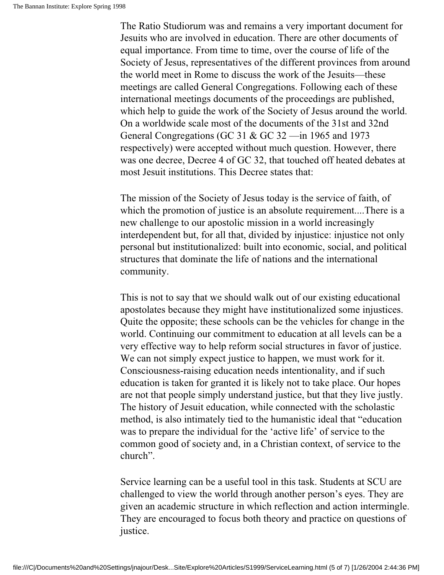The Ratio Studiorum was and remains a very important document for Jesuits who are involved in education. There are other documents of equal importance. From time to time, over the course of life of the Society of Jesus, representatives of the different provinces from around the world meet in Rome to discuss the work of the Jesuits—these meetings are called General Congregations. Following each of these international meetings documents of the proceedings are published, which help to guide the work of the Society of Jesus around the world. On a worldwide scale most of the documents of the 31st and 32nd General Congregations (GC 31 & GC 32 —in 1965 and 1973 respectively) were accepted without much question. However, there was one decree, Decree 4 of GC 32, that touched off heated debates at most Jesuit institutions. This Decree states that:

The mission of the Society of Jesus today is the service of faith, of which the promotion of justice is an absolute requirement....There is a new challenge to our apostolic mission in a world increasingly interdependent but, for all that, divided by injustice: injustice not only personal but institutionalized: built into economic, social, and political structures that dominate the life of nations and the international community.

This is not to say that we should walk out of our existing educational apostolates because they might have institutionalized some injustices. Quite the opposite; these schools can be the vehicles for change in the world. Continuing our commitment to education at all levels can be a very effective way to help reform social structures in favor of justice. We can not simply expect justice to happen, we must work for it. Consciousness-raising education needs intentionality, and if such education is taken for granted it is likely not to take place. Our hopes are not that people simply understand justice, but that they live justly. The history of Jesuit education, while connected with the scholastic method, is also intimately tied to the humanistic ideal that "education was to prepare the individual for the 'active life' of service to the common good of society and, in a Christian context, of service to the church".

Service learning can be a useful tool in this task. Students at SCU are challenged to view the world through another person's eyes. They are given an academic structure in which reflection and action intermingle. They are encouraged to focus both theory and practice on questions of justice.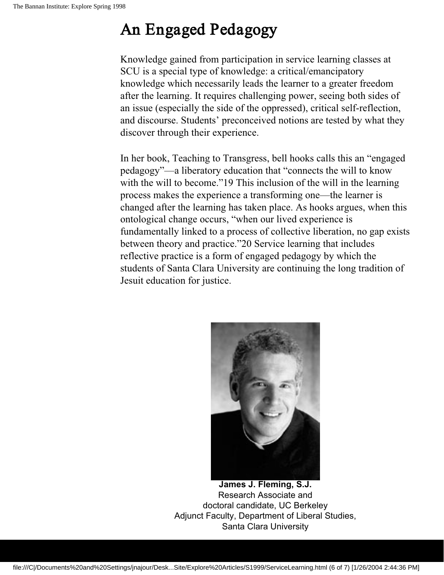### An Engaged Pedagogy

Knowledge gained from participation in service learning classes at SCU is a special type of knowledge: a critical/emancipatory knowledge which necessarily leads the learner to a greater freedom after the learning. It requires challenging power, seeing both sides of an issue (especially the side of the oppressed), critical self-reflection, and discourse. Students' preconceived notions are tested by what they discover through their experience.

In her book, Teaching to Transgress, bell hooks calls this an "engaged pedagogy"—a liberatory education that "connects the will to know with the will to become." 19 This inclusion of the will in the learning process makes the experience a transforming one—the learner is changed after the learning has taken place. As hooks argues, when this ontological change occurs, "when our lived experience is fundamentally linked to a process of collective liberation, no gap exists between theory and practice."20 Service learning that includes reflective practice is a form of engaged pedagogy by which the students of Santa Clara University are continuing the long tradition of Jesuit education for justice.



**James J. Fleming, S.J.** Research Associate and doctoral candidate, UC Berkeley Adjunct Faculty, Department of Liberal Studies, Santa Clara University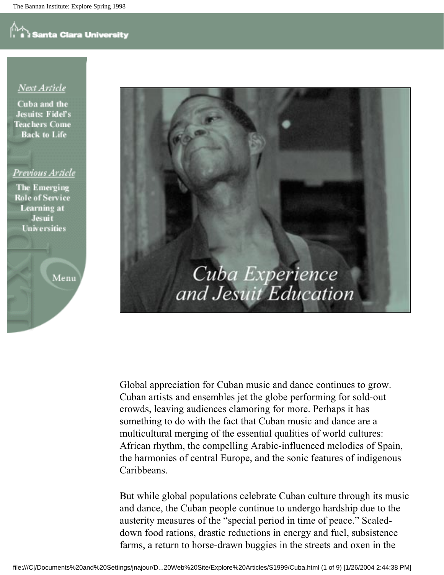### Next Article

Cuba and the **Jesuits Fidel's Teachers Come Back to Life** 

### Previous Article

**The Emerging Role of Service Learning** at **Jesuit Universities** 

Menu



Global appreciation for Cuban music and dance continues to grow. Cuban artists and ensembles jet the globe performing for sold-out crowds, leaving audiences clamoring for more. Perhaps it has something to do with the fact that Cuban music and dance are a multicultural merging of the essential qualities of world cultures: African rhythm, the compelling Arabic-influenced melodies of Spain, the harmonies of central Europe, and the sonic features of indigenous Caribbeans.

But while global populations celebrate Cuban culture through its music and dance, the Cuban people continue to undergo hardship due to the austerity measures of the "special period in time of peace." Scaleddown food rations, drastic reductions in energy and fuel, subsistence farms, a return to horse-drawn buggies in the streets and oxen in the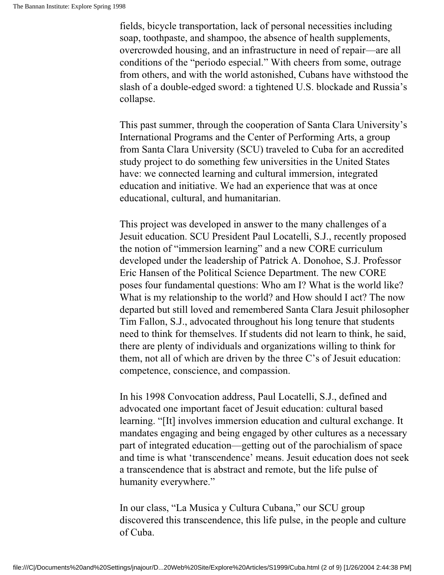fields, bicycle transportation, lack of personal necessities including soap, toothpaste, and shampoo, the absence of health supplements, overcrowded housing, and an infrastructure in need of repair—are all conditions of the "periodo especial." With cheers from some, outrage from others, and with the world astonished, Cubans have withstood the slash of a double-edged sword: a tightened U.S. blockade and Russia's collapse.

This past summer, through the cooperation of Santa Clara University's International Programs and the Center of Performing Arts, a group from Santa Clara University (SCU) traveled to Cuba for an accredited study project to do something few universities in the United States have: we connected learning and cultural immersion, integrated education and initiative. We had an experience that was at once educational, cultural, and humanitarian.

This project was developed in answer to the many challenges of a Jesuit education. SCU President Paul Locatelli, S.J., recently proposed the notion of "immersion learning" and a new CORE curriculum developed under the leadership of Patrick A. Donohoe, S.J. Professor Eric Hansen of the Political Science Department. The new CORE poses four fundamental questions: Who am I? What is the world like? What is my relationship to the world? and How should I act? The now departed but still loved and remembered Santa Clara Jesuit philosopher Tim Fallon, S.J., advocated throughout his long tenure that students need to think for themselves. If students did not learn to think, he said, there are plenty of individuals and organizations willing to think for them, not all of which are driven by the three C's of Jesuit education: competence, conscience, and compassion.

In his 1998 Convocation address, Paul Locatelli, S.J., defined and advocated one important facet of Jesuit education: cultural based learning. "[It] involves immersion education and cultural exchange. It mandates engaging and being engaged by other cultures as a necessary part of integrated education—getting out of the parochialism of space and time is what 'transcendence' means. Jesuit education does not seek a transcendence that is abstract and remote, but the life pulse of humanity everywhere."

In our class, "La Musica y Cultura Cubana," our SCU group discovered this transcendence, this life pulse, in the people and culture of Cuba.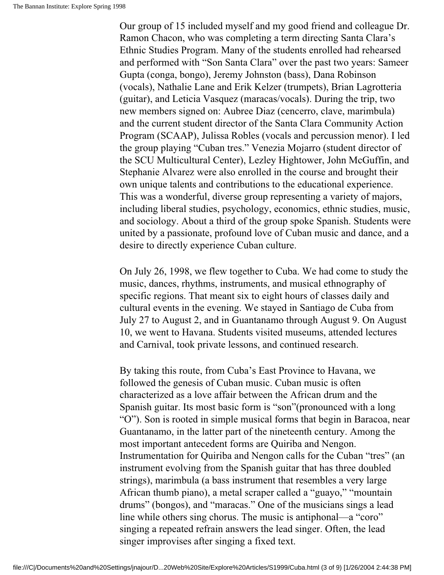Our group of 15 included myself and my good friend and colleague Dr. Ramon Chacon, who was completing a term directing Santa Clara's Ethnic Studies Program. Many of the students enrolled had rehearsed and performed with "Son Santa Clara" over the past two years: Sameer Gupta (conga, bongo), Jeremy Johnston (bass), Dana Robinson (vocals), Nathalie Lane and Erik Kelzer (trumpets), Brian Lagrotteria (guitar), and Leticia Vasquez (maracas/vocals). During the trip, two new members signed on: Aubree Diaz (cencerro, clave, marimbula) and the current student director of the Santa Clara Community Action Program (SCAAP), Julissa Robles (vocals and percussion menor). I led the group playing "Cuban tres." Venezia Mojarro (student director of the SCU Multicultural Center), Lezley Hightower, John McGuffin, and Stephanie Alvarez were also enrolled in the course and brought their own unique talents and contributions to the educational experience. This was a wonderful, diverse group representing a variety of majors, including liberal studies, psychology, economics, ethnic studies, music, and sociology. About a third of the group spoke Spanish. Students were united by a passionate, profound love of Cuban music and dance, and a desire to directly experience Cuban culture.

On July 26, 1998, we flew together to Cuba. We had come to study the music, dances, rhythms, instruments, and musical ethnography of specific regions. That meant six to eight hours of classes daily and cultural events in the evening. We stayed in Santiago de Cuba from July 27 to August 2, and in Guantanamo through August 9. On August 10, we went to Havana. Students visited museums, attended lectures and Carnival, took private lessons, and continued research.

By taking this route, from Cuba's East Province to Havana, we followed the genesis of Cuban music. Cuban music is often characterized as a love affair between the African drum and the Spanish guitar. Its most basic form is "son"(pronounced with a long "O"). Son is rooted in simple musical forms that begin in Baracoa, near Guantanamo, in the latter part of the nineteenth century. Among the most important antecedent forms are Quiriba and Nengon. Instrumentation for Quiriba and Nengon calls for the Cuban "tres" (an instrument evolving from the Spanish guitar that has three doubled strings), marimbula (a bass instrument that resembles a very large African thumb piano), a metal scraper called a "guayo," "mountain drums" (bongos), and "maracas." One of the musicians sings a lead line while others sing chorus. The music is antiphonal—a "coro" singing a repeated refrain answers the lead singer. Often, the lead singer improvises after singing a fixed text.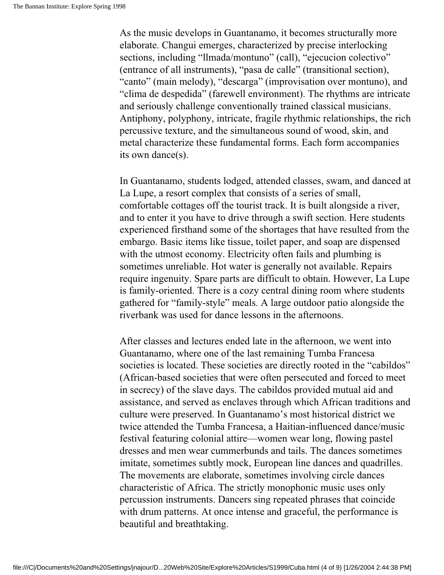As the music develops in Guantanamo, it becomes structurally more elaborate. Changui emerges, characterized by precise interlocking sections, including "llmada/montuno" (call), "ejecucion colectivo" (entrance of all instruments), "pasa de calle" (transitional section), "canto" (main melody), "descarga" (improvisation over montuno), and "clima de despedida" (farewell environment). The rhythms are intricate and seriously challenge conventionally trained classical musicians. Antiphony, polyphony, intricate, fragile rhythmic relationships, the rich percussive texture, and the simultaneous sound of wood, skin, and metal characterize these fundamental forms. Each form accompanies its own dance(s).

In Guantanamo, students lodged, attended classes, swam, and danced at La Lupe, a resort complex that consists of a series of small, comfortable cottages off the tourist track. It is built alongside a river, and to enter it you have to drive through a swift section. Here students experienced firsthand some of the shortages that have resulted from the embargo. Basic items like tissue, toilet paper, and soap are dispensed with the utmost economy. Electricity often fails and plumbing is sometimes unreliable. Hot water is generally not available. Repairs require ingenuity. Spare parts are difficult to obtain. However, La Lupe is family-oriented. There is a cozy central dining room where students gathered for "family-style" meals. A large outdoor patio alongside the riverbank was used for dance lessons in the afternoons.

After classes and lectures ended late in the afternoon, we went into Guantanamo, where one of the last remaining Tumba Francesa societies is located. These societies are directly rooted in the "cabildos" (African-based societies that were often persecuted and forced to meet in secrecy) of the slave days. The cabildos provided mutual aid and assistance, and served as enclaves through which African traditions and culture were preserved. In Guantanamo's most historical district we twice attended the Tumba Francesa, a Haitian-influenced dance/music festival featuring colonial attire—women wear long, flowing pastel dresses and men wear cummerbunds and tails. The dances sometimes imitate, sometimes subtly mock, European line dances and quadrilles. The movements are elaborate, sometimes involving circle dances characteristic of Africa. The strictly monophonic music uses only percussion instruments. Dancers sing repeated phrases that coincide with drum patterns. At once intense and graceful, the performance is beautiful and breathtaking.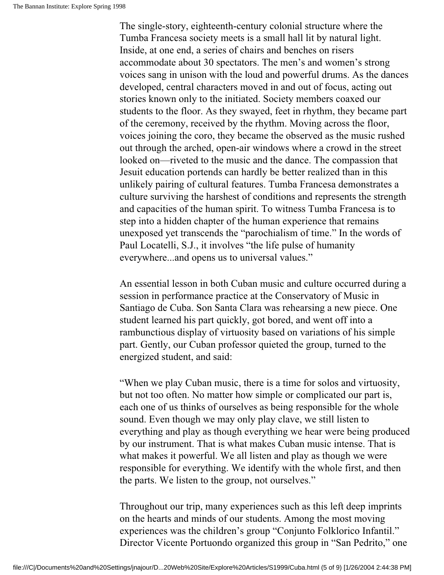The single-story, eighteenth-century colonial structure where the Tumba Francesa society meets is a small hall lit by natural light. Inside, at one end, a series of chairs and benches on risers accommodate about 30 spectators. The men's and women's strong voices sang in unison with the loud and powerful drums. As the dances developed, central characters moved in and out of focus, acting out stories known only to the initiated. Society members coaxed our students to the floor. As they swayed, feet in rhythm, they became part of the ceremony, received by the rhythm. Moving across the floor, voices joining the coro, they became the observed as the music rushed out through the arched, open-air windows where a crowd in the street looked on—riveted to the music and the dance. The compassion that Jesuit education portends can hardly be better realized than in this unlikely pairing of cultural features. Tumba Francesa demonstrates a culture surviving the harshest of conditions and represents the strength and capacities of the human spirit. To witness Tumba Francesa is to step into a hidden chapter of the human experience that remains unexposed yet transcends the "parochialism of time." In the words of Paul Locatelli, S.J., it involves "the life pulse of humanity everywhere...and opens us to universal values."

An essential lesson in both Cuban music and culture occurred during a session in performance practice at the Conservatory of Music in Santiago de Cuba. Son Santa Clara was rehearsing a new piece. One student learned his part quickly, got bored, and went off into a rambunctious display of virtuosity based on variations of his simple part. Gently, our Cuban professor quieted the group, turned to the energized student, and said:

"When we play Cuban music, there is a time for solos and virtuosity, but not too often. No matter how simple or complicated our part is, each one of us thinks of ourselves as being responsible for the whole sound. Even though we may only play clave, we still listen to everything and play as though everything we hear were being produced by our instrument. That is what makes Cuban music intense. That is what makes it powerful. We all listen and play as though we were responsible for everything. We identify with the whole first, and then the parts. We listen to the group, not ourselves."

Throughout our trip, many experiences such as this left deep imprints on the hearts and minds of our students. Among the most moving experiences was the children's group "Conjunto Folklorico Infantil." Director Vicente Portuondo organized this group in "San Pedrito," one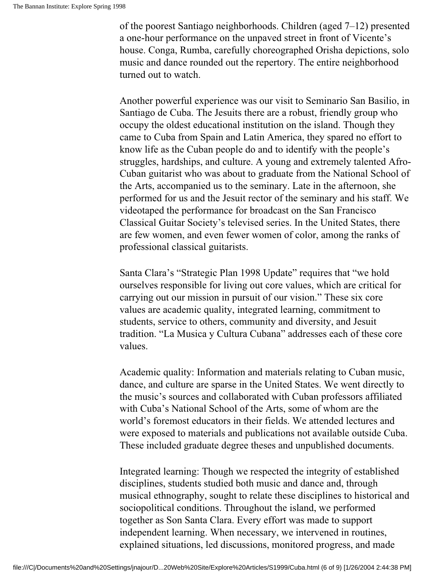of the poorest Santiago neighborhoods. Children (aged 7–12) presented a one-hour performance on the unpaved street in front of Vicente's house. Conga, Rumba, carefully choreographed Orisha depictions, solo music and dance rounded out the repertory. The entire neighborhood turned out to watch.

Another powerful experience was our visit to Seminario San Basilio, in Santiago de Cuba. The Jesuits there are a robust, friendly group who occupy the oldest educational institution on the island. Though they came to Cuba from Spain and Latin America, they spared no effort to know life as the Cuban people do and to identify with the people's struggles, hardships, and culture. A young and extremely talented Afro-Cuban guitarist who was about to graduate from the National School of the Arts, accompanied us to the seminary. Late in the afternoon, she performed for us and the Jesuit rector of the seminary and his staff. We videotaped the performance for broadcast on the San Francisco Classical Guitar Society's televised series. In the United States, there are few women, and even fewer women of color, among the ranks of professional classical guitarists.

Santa Clara's "Strategic Plan 1998 Update" requires that "we hold ourselves responsible for living out core values, which are critical for carrying out our mission in pursuit of our vision." These six core values are academic quality, integrated learning, commitment to students, service to others, community and diversity, and Jesuit tradition. "La Musica y Cultura Cubana" addresses each of these core values.

Academic quality: Information and materials relating to Cuban music, dance, and culture are sparse in the United States. We went directly to the music's sources and collaborated with Cuban professors affiliated with Cuba's National School of the Arts, some of whom are the world's foremost educators in their fields. We attended lectures and were exposed to materials and publications not available outside Cuba. These included graduate degree theses and unpublished documents.

Integrated learning: Though we respected the integrity of established disciplines, students studied both music and dance and, through musical ethnography, sought to relate these disciplines to historical and sociopolitical conditions. Throughout the island, we performed together as Son Santa Clara. Every effort was made to support independent learning. When necessary, we intervened in routines, explained situations, led discussions, monitored progress, and made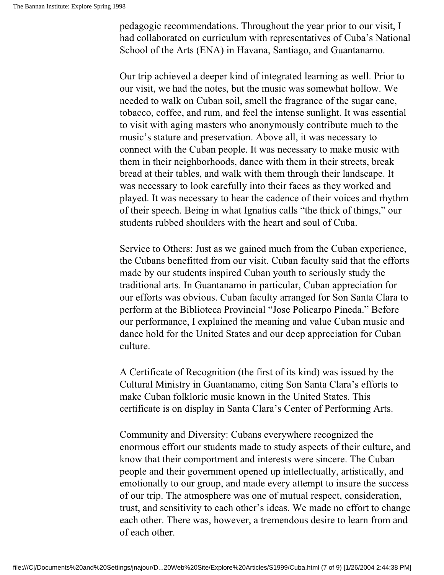pedagogic recommendations. Throughout the year prior to our visit, I had collaborated on curriculum with representatives of Cuba's National School of the Arts (ENA) in Havana, Santiago, and Guantanamo.

Our trip achieved a deeper kind of integrated learning as well. Prior to our visit, we had the notes, but the music was somewhat hollow. We needed to walk on Cuban soil, smell the fragrance of the sugar cane, tobacco, coffee, and rum, and feel the intense sunlight. It was essential to visit with aging masters who anonymously contribute much to the music's stature and preservation. Above all, it was necessary to connect with the Cuban people. It was necessary to make music with them in their neighborhoods, dance with them in their streets, break bread at their tables, and walk with them through their landscape. It was necessary to look carefully into their faces as they worked and played. It was necessary to hear the cadence of their voices and rhythm of their speech. Being in what Ignatius calls "the thick of things," our students rubbed shoulders with the heart and soul of Cuba.

Service to Others: Just as we gained much from the Cuban experience, the Cubans benefitted from our visit. Cuban faculty said that the efforts made by our students inspired Cuban youth to seriously study the traditional arts. In Guantanamo in particular, Cuban appreciation for our efforts was obvious. Cuban faculty arranged for Son Santa Clara to perform at the Biblioteca Provincial "Jose Policarpo Pineda." Before our performance, I explained the meaning and value Cuban music and dance hold for the United States and our deep appreciation for Cuban culture.

A Certificate of Recognition (the first of its kind) was issued by the Cultural Ministry in Guantanamo, citing Son Santa Clara's efforts to make Cuban folkloric music known in the United States. This certificate is on display in Santa Clara's Center of Performing Arts.

Community and Diversity: Cubans everywhere recognized the enormous effort our students made to study aspects of their culture, and know that their comportment and interests were sincere. The Cuban people and their government opened up intellectually, artistically, and emotionally to our group, and made every attempt to insure the success of our trip. The atmosphere was one of mutual respect, consideration, trust, and sensitivity to each other's ideas. We made no effort to change each other. There was, however, a tremendous desire to learn from and of each other.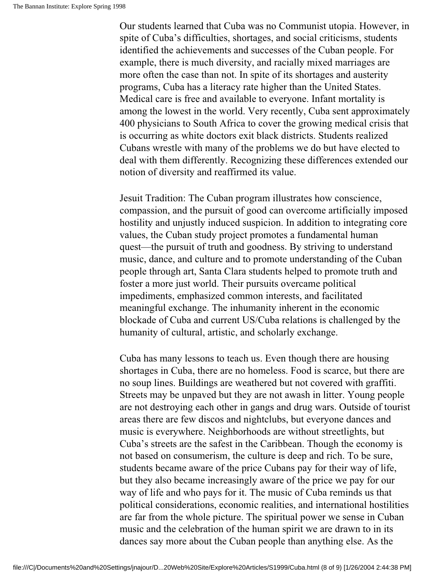Our students learned that Cuba was no Communist utopia. However, in spite of Cuba's difficulties, shortages, and social criticisms, students identified the achievements and successes of the Cuban people. For example, there is much diversity, and racially mixed marriages are more often the case than not. In spite of its shortages and austerity programs, Cuba has a literacy rate higher than the United States. Medical care is free and available to everyone. Infant mortality is among the lowest in the world. Very recently, Cuba sent approximately 400 physicians to South Africa to cover the growing medical crisis that is occurring as white doctors exit black districts. Students realized Cubans wrestle with many of the problems we do but have elected to deal with them differently. Recognizing these differences extended our notion of diversity and reaffirmed its value.

Jesuit Tradition: The Cuban program illustrates how conscience, compassion, and the pursuit of good can overcome artificially imposed hostility and unjustly induced suspicion. In addition to integrating core values, the Cuban study project promotes a fundamental human quest—the pursuit of truth and goodness. By striving to understand music, dance, and culture and to promote understanding of the Cuban people through art, Santa Clara students helped to promote truth and foster a more just world. Their pursuits overcame political impediments, emphasized common interests, and facilitated meaningful exchange. The inhumanity inherent in the economic blockade of Cuba and current US/Cuba relations is challenged by the humanity of cultural, artistic, and scholarly exchange.

Cuba has many lessons to teach us. Even though there are housing shortages in Cuba, there are no homeless. Food is scarce, but there are no soup lines. Buildings are weathered but not covered with graffiti. Streets may be unpaved but they are not awash in litter. Young people are not destroying each other in gangs and drug wars. Outside of tourist areas there are few discos and nightclubs, but everyone dances and music is everywhere. Neighborhoods are without streetlights, but Cuba's streets are the safest in the Caribbean. Though the economy is not based on consumerism, the culture is deep and rich. To be sure, students became aware of the price Cubans pay for their way of life, but they also became increasingly aware of the price we pay for our way of life and who pays for it. The music of Cuba reminds us that political considerations, economic realities, and international hostilities are far from the whole picture. The spiritual power we sense in Cuban music and the celebration of the human spirit we are drawn to in its dances say more about the Cuban people than anything else. As the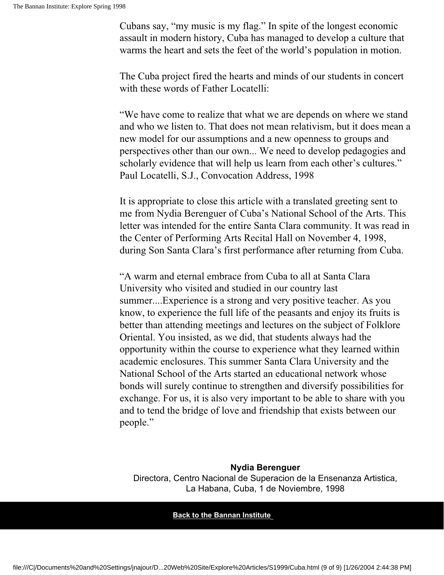Cubans say, "my music is my flag." In spite of the longest economic assault in modern history, Cuba has managed to develop a culture that warms the heart and sets the feet of the world's population in motion.

The Cuba project fired the hearts and minds of our students in concert with these words of Father Locatelli:

"We have come to realize that what we are depends on where we stand and who we listen to. That does not mean relativism, but it does mean a new model for our assumptions and a new openness to groups and perspectives other than our own... We need to develop pedagogies and scholarly evidence that will help us learn from each other's cultures." Paul Locatelli, S.J., Convocation Address, 1998

It is appropriate to close this article with a translated greeting sent to me from Nydia Berenguer of Cuba's National School of the Arts. This letter was intended for the entire Santa Clara community. It was read in the Center of Performing Arts Recital Hall on November 4, 1998, during Son Santa Clara's first performance after returning from Cuba.

"A warm and eternal embrace from Cuba to all at Santa Clara University who visited and studied in our country last summer....Experience is a strong and very positive teacher. As you know, to experience the full life of the peasants and enjoy its fruits is better than attending meetings and lectures on the subject of Folklore Oriental. You insisted, as we did, that students always had the opportunity within the course to experience what they learned within academic enclosures. This summer Santa Clara University and the National School of the Arts started an educational network whose bonds will surely continue to strengthen and diversify possibilities for exchange. For us, it is also very important to be able to share with you and to tend the bridge of love and friendship that exists between our people."

#### **Nydia Berenguer** Directora, Centro Nacional de Superacion de la Ensenanza Artistica, La Habana, Cuba, 1 de Noviembre, 1998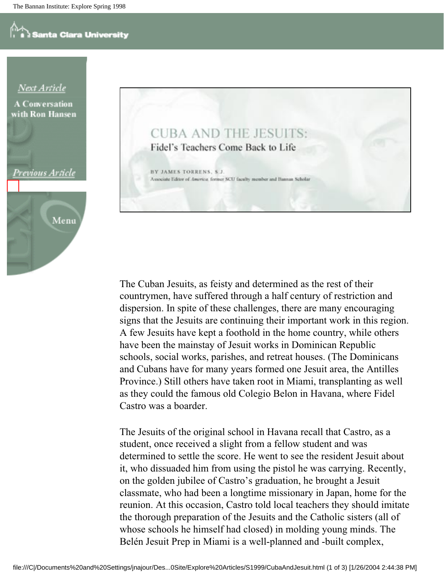



The Cuban Jesuits, as feisty and determined as the rest of their countrymen, have suffered through a half century of restriction and dispersion. In spite of these challenges, there are many encouraging signs that the Jesuits are continuing their important work in this region. A few Jesuits have kept a foothold in the home country, while others have been the mainstay of Jesuit works in Dominican Republic schools, social works, parishes, and retreat houses. (The Dominicans and Cubans have for many years formed one Jesuit area, the Antilles Province.) Still others have taken root in Miami, transplanting as well as they could the famous old Colegio Belon in Havana, where Fidel Castro was a boarder.

The Jesuits of the original school in Havana recall that Castro, as a student, once received a slight from a fellow student and was determined to settle the score. He went to see the resident Jesuit about it, who dissuaded him from using the pistol he was carrying. Recently, on the golden jubilee of Castro's graduation, he brought a Jesuit classmate, who had been a longtime missionary in Japan, home for the reunion. At this occasion, Castro told local teachers they should imitate the thorough preparation of the Jesuits and the Catholic sisters (all of whose schools he himself had closed) in molding young minds. The Belén Jesuit Prep in Miami is a well-planned and -built complex,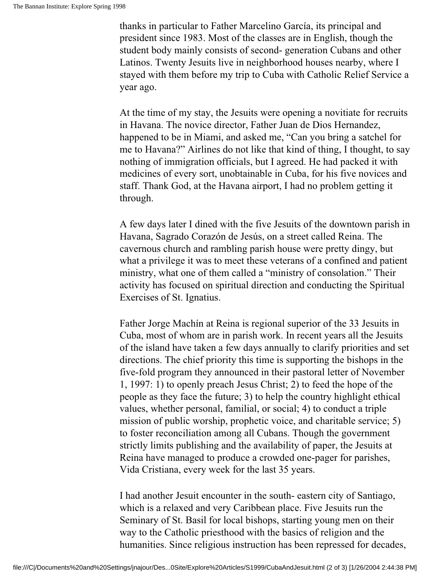thanks in particular to Father Marcelino García, its principal and president since 1983. Most of the classes are in English, though the student body mainly consists of second- generation Cubans and other Latinos. Twenty Jesuits live in neighborhood houses nearby, where I stayed with them before my trip to Cuba with Catholic Relief Service a year ago.

At the time of my stay, the Jesuits were opening a novitiate for recruits in Havana. The novice director, Father Juan de Dios Hernandez, happened to be in Miami, and asked me, "Can you bring a satchel for me to Havana?" Airlines do not like that kind of thing, I thought, to say nothing of immigration officials, but I agreed. He had packed it with medicines of every sort, unobtainable in Cuba, for his five novices and staff. Thank God, at the Havana airport, I had no problem getting it through.

A few days later I dined with the five Jesuits of the downtown parish in Havana, Sagrado Corazón de Jesús, on a street called Reina. The cavernous church and rambling parish house were pretty dingy, but what a privilege it was to meet these veterans of a confined and patient ministry, what one of them called a "ministry of consolation." Their activity has focused on spiritual direction and conducting the Spiritual Exercises of St. Ignatius.

Father Jorge Machín at Reina is regional superior of the 33 Jesuits in Cuba, most of whom are in parish work. In recent years all the Jesuits of the island have taken a few days annually to clarify priorities and set directions. The chief priority this time is supporting the bishops in the five-fold program they announced in their pastoral letter of November 1, 1997: 1) to openly preach Jesus Christ; 2) to feed the hope of the people as they face the future; 3) to help the country highlight ethical values, whether personal, familial, or social; 4) to conduct a triple mission of public worship, prophetic voice, and charitable service; 5) to foster reconciliation among all Cubans. Though the government strictly limits publishing and the availability of paper, the Jesuits at Reina have managed to produce a crowded one-pager for parishes, Vida Cristiana, every week for the last 35 years.

I had another Jesuit encounter in the south- eastern city of Santiago, which is a relaxed and very Caribbean place. Five Jesuits run the Seminary of St. Basil for local bishops, starting young men on their way to the Catholic priesthood with the basics of religion and the humanities. Since religious instruction has been repressed for decades,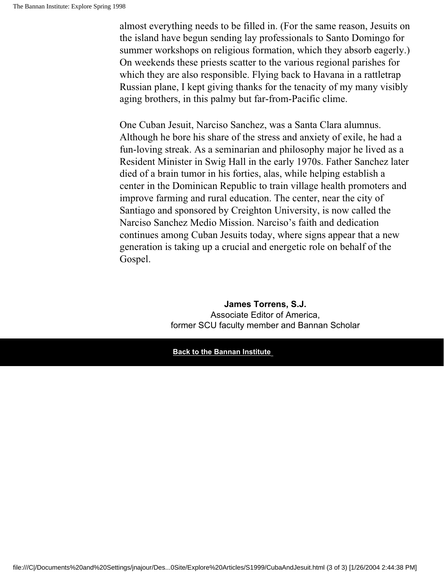almost everything needs to be filled in. (For the same reason, Jesuits on the island have begun sending lay professionals to Santo Domingo for summer workshops on religious formation, which they absorb eagerly.) On weekends these priests scatter to the various regional parishes for which they are also responsible. Flying back to Havana in a rattletrap Russian plane, I kept giving thanks for the tenacity of my many visibly aging brothers, in this palmy but far-from-Pacific clime.

One Cuban Jesuit, Narciso Sanchez, was a Santa Clara alumnus. Although he bore his share of the stress and anxiety of exile, he had a fun-loving streak. As a seminarian and philosophy major he lived as a Resident Minister in Swig Hall in the early 1970s. Father Sanchez later died of a brain tumor in his forties, alas, while helping establish a center in the Dominican Republic to train village health promoters and improve farming and rural education. The center, near the city of Santiago and sponsored by Creighton University, is now called the Narciso Sanchez Medio Mission. Narciso's faith and dedication continues among Cuban Jesuits today, where signs appear that a new generation is taking up a crucial and energetic role on behalf of the Gospel.

#### **James Torrens, S.J.** Associate Editor of America, former SCU faculty member and Bannan Scholar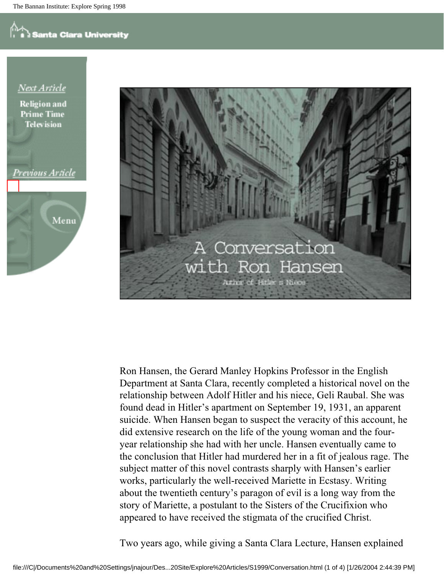## **Santa Clara University**

Next Article

**Religion** and **Prime Time Television** 

### Previous Article





Ron Hansen, the Gerard Manley Hopkins Professor in the English Department at Santa Clara, recently completed a historical novel on the relationship between Adolf Hitler and his niece, Geli Raubal. She was found dead in Hitler's apartment on September 19, 1931, an apparent suicide. When Hansen began to suspect the veracity of this account, he did extensive research on the life of the young woman and the fouryear relationship she had with her uncle. Hansen eventually came to the conclusion that Hitler had murdered her in a fit of jealous rage. The subject matter of this novel contrasts sharply with Hansen's earlier works, particularly the well-received Mariette in Ecstasy. Writing about the twentieth century's paragon of evil is a long way from the story of Mariette, a postulant to the Sisters of the Crucifixion who appeared to have received the stigmata of the crucified Christ.

Two years ago, while giving a Santa Clara Lecture, Hansen explained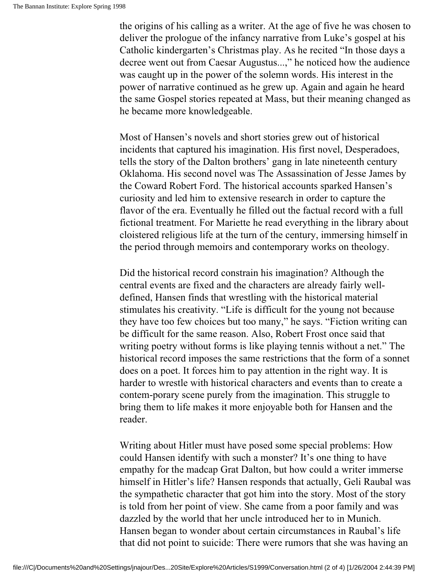the origins of his calling as a writer. At the age of five he was chosen to deliver the prologue of the infancy narrative from Luke's gospel at his Catholic kindergarten's Christmas play. As he recited "In those days a decree went out from Caesar Augustus...," he noticed how the audience was caught up in the power of the solemn words. His interest in the power of narrative continued as he grew up. Again and again he heard the same Gospel stories repeated at Mass, but their meaning changed as he became more knowledgeable.

Most of Hansen's novels and short stories grew out of historical incidents that captured his imagination. His first novel, Desperadoes, tells the story of the Dalton brothers' gang in late nineteenth century Oklahoma. His second novel was The Assassination of Jesse James by the Coward Robert Ford. The historical accounts sparked Hansen's curiosity and led him to extensive research in order to capture the flavor of the era. Eventually he filled out the factual record with a full fictional treatment. For Mariette he read everything in the library about cloistered religious life at the turn of the century, immersing himself in the period through memoirs and contemporary works on theology.

Did the historical record constrain his imagination? Although the central events are fixed and the characters are already fairly welldefined, Hansen finds that wrestling with the historical material stimulates his creativity. "Life is difficult for the young not because they have too few choices but too many," he says. "Fiction writing can be difficult for the same reason. Also, Robert Frost once said that writing poetry without forms is like playing tennis without a net." The historical record imposes the same restrictions that the form of a sonnet does on a poet. It forces him to pay attention in the right way. It is harder to wrestle with historical characters and events than to create a contem-porary scene purely from the imagination. This struggle to bring them to life makes it more enjoyable both for Hansen and the reader.

Writing about Hitler must have posed some special problems: How could Hansen identify with such a monster? It's one thing to have empathy for the madcap Grat Dalton, but how could a writer immerse himself in Hitler's life? Hansen responds that actually, Geli Raubal was the sympathetic character that got him into the story. Most of the story is told from her point of view. She came from a poor family and was dazzled by the world that her uncle introduced her to in Munich. Hansen began to wonder about certain circumstances in Raubal's life that did not point to suicide: There were rumors that she was having an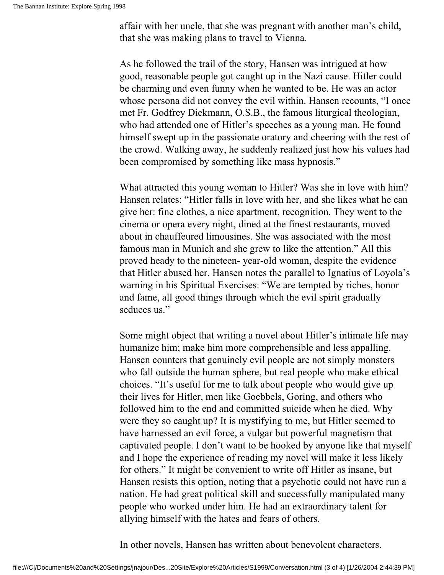affair with her uncle, that she was pregnant with another man's child, that she was making plans to travel to Vienna.

As he followed the trail of the story, Hansen was intrigued at how good, reasonable people got caught up in the Nazi cause. Hitler could be charming and even funny when he wanted to be. He was an actor whose persona did not convey the evil within. Hansen recounts, "I once met Fr. Godfrey Diekmann, O.S.B., the famous liturgical theologian, who had attended one of Hitler's speeches as a young man. He found himself swept up in the passionate oratory and cheering with the rest of the crowd. Walking away, he suddenly realized just how his values had been compromised by something like mass hypnosis."

What attracted this young woman to Hitler? Was she in love with him? Hansen relates: "Hitler falls in love with her, and she likes what he can give her: fine clothes, a nice apartment, recognition. They went to the cinema or opera every night, dined at the finest restaurants, moved about in chauffeured limousines. She was associated with the most famous man in Munich and she grew to like the attention." All this proved heady to the nineteen- year-old woman, despite the evidence that Hitler abused her. Hansen notes the parallel to Ignatius of Loyola's warning in his Spiritual Exercises: "We are tempted by riches, honor and fame, all good things through which the evil spirit gradually seduces us."

Some might object that writing a novel about Hitler's intimate life may humanize him; make him more comprehensible and less appalling. Hansen counters that genuinely evil people are not simply monsters who fall outside the human sphere, but real people who make ethical choices. "It's useful for me to talk about people who would give up their lives for Hitler, men like Goebbels, Goring, and others who followed him to the end and committed suicide when he died. Why were they so caught up? It is mystifying to me, but Hitler seemed to have harnessed an evil force, a vulgar but powerful magnetism that captivated people. I don't want to be hooked by anyone like that myself and I hope the experience of reading my novel will make it less likely for others." It might be convenient to write off Hitler as insane, but Hansen resists this option, noting that a psychotic could not have run a nation. He had great political skill and successfully manipulated many people who worked under him. He had an extraordinary talent for allying himself with the hates and fears of others.

In other novels, Hansen has written about benevolent characters.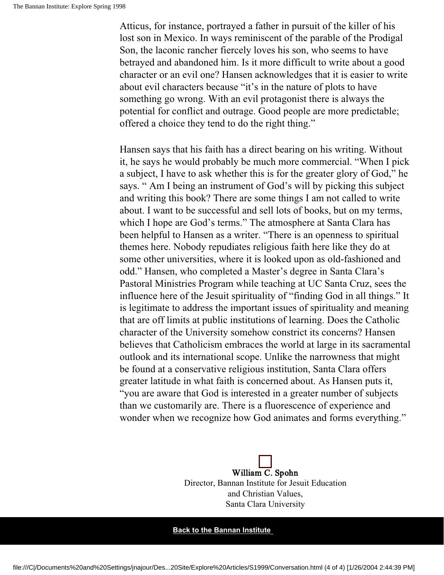Atticus, for instance, portrayed a father in pursuit of the killer of his lost son in Mexico. In ways reminiscent of the parable of the Prodigal Son, the laconic rancher fiercely loves his son, who seems to have betrayed and abandoned him. Is it more difficult to write about a good character or an evil one? Hansen acknowledges that it is easier to write about evil characters because "it's in the nature of plots to have something go wrong. With an evil protagonist there is always the potential for conflict and outrage. Good people are more predictable; offered a choice they tend to do the right thing."

Hansen says that his faith has a direct bearing on his writing. Without it, he says he would probably be much more commercial. "When I pick a subject, I have to ask whether this is for the greater glory of God," he says. " Am I being an instrument of God's will by picking this subject and writing this book? There are some things I am not called to write about. I want to be successful and sell lots of books, but on my terms, which I hope are God's terms." The atmosphere at Santa Clara has been helpful to Hansen as a writer. "There is an openness to spiritual themes here. Nobody repudiates religious faith here like they do at some other universities, where it is looked upon as old-fashioned and odd." Hansen, who completed a Master's degree in Santa Clara's Pastoral Ministries Program while teaching at UC Santa Cruz, sees the influence here of the Jesuit spirituality of "finding God in all things." It is legitimate to address the important issues of spirituality and meaning that are off limits at public institutions of learning. Does the Catholic character of the University somehow constrict its concerns? Hansen believes that Catholicism embraces the world at large in its sacramental outlook and its international scope. Unlike the narrowness that might be found at a conservative religious institution, Santa Clara offers greater latitude in what faith is concerned about. As Hansen puts it, "you are aware that God is interested in a greater number of subjects than we customarily are. There is a fluorescence of experience and wonder when we recognize how God animates and forms everything."

> William C. Spohn Director, Bannan Institute for Jesuit Education and Christian Values, Santa Clara University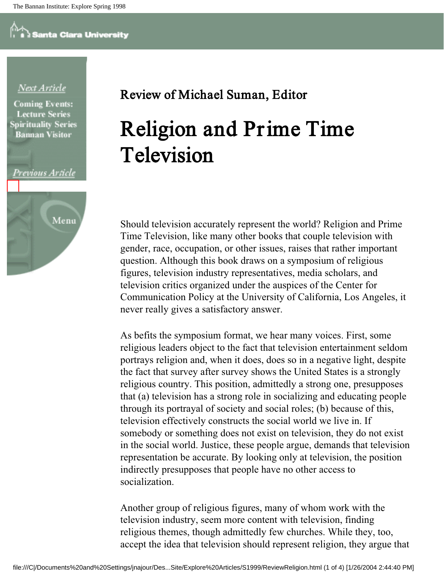### Next Article

**Coming Events: Lecture Series Spirituality Series Bannan Visitor** 





### Review of Michael Suman, Editor

## Religion and Prime Time Television

Should television accurately represent the world? Religion and Prime Time Television, like many other books that couple television with gender, race, occupation, or other issues, raises that rather important question. Although this book draws on a symposium of religious figures, television industry representatives, media scholars, and television critics organized under the auspices of the Center for Communication Policy at the University of California, Los Angeles, it never really gives a satisfactory answer.

As befits the symposium format, we hear many voices. First, some religious leaders object to the fact that television entertainment seldom portrays religion and, when it does, does so in a negative light, despite the fact that survey after survey shows the United States is a strongly religious country. This position, admittedly a strong one, presupposes that (a) television has a strong role in socializing and educating people through its portrayal of society and social roles; (b) because of this, television effectively constructs the social world we live in. If somebody or something does not exist on television, they do not exist in the social world. Justice, these people argue, demands that television representation be accurate. By looking only at television, the position indirectly presupposes that people have no other access to socialization.

Another group of religious figures, many of whom work with the television industry, seem more content with television, finding religious themes, though admittedly few churches. While they, too, accept the idea that television should represent religion, they argue that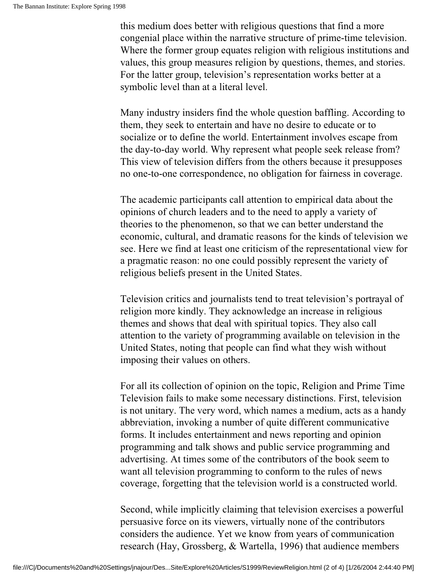this medium does better with religious questions that find a more congenial place within the narrative structure of prime-time television. Where the former group equates religion with religious institutions and values, this group measures religion by questions, themes, and stories. For the latter group, television's representation works better at a symbolic level than at a literal level.

Many industry insiders find the whole question baffling. According to them, they seek to entertain and have no desire to educate or to socialize or to define the world. Entertainment involves escape from the day-to-day world. Why represent what people seek release from? This view of television differs from the others because it presupposes no one-to-one correspondence, no obligation for fairness in coverage.

The academic participants call attention to empirical data about the opinions of church leaders and to the need to apply a variety of theories to the phenomenon, so that we can better understand the economic, cultural, and dramatic reasons for the kinds of television we see. Here we find at least one criticism of the representational view for a pragmatic reason: no one could possibly represent the variety of religious beliefs present in the United States.

Television critics and journalists tend to treat television's portrayal of religion more kindly. They acknowledge an increase in religious themes and shows that deal with spiritual topics. They also call attention to the variety of programming available on television in the United States, noting that people can find what they wish without imposing their values on others.

For all its collection of opinion on the topic, Religion and Prime Time Television fails to make some necessary distinctions. First, television is not unitary. The very word, which names a medium, acts as a handy abbreviation, invoking a number of quite different communicative forms. It includes entertainment and news reporting and opinion programming and talk shows and public service programming and advertising. At times some of the contributors of the book seem to want all television programming to conform to the rules of news coverage, forgetting that the television world is a constructed world.

Second, while implicitly claiming that television exercises a powerful persuasive force on its viewers, virtually none of the contributors considers the audience. Yet we know from years of communication research (Hay, Grossberg, & Wartella, 1996) that audience members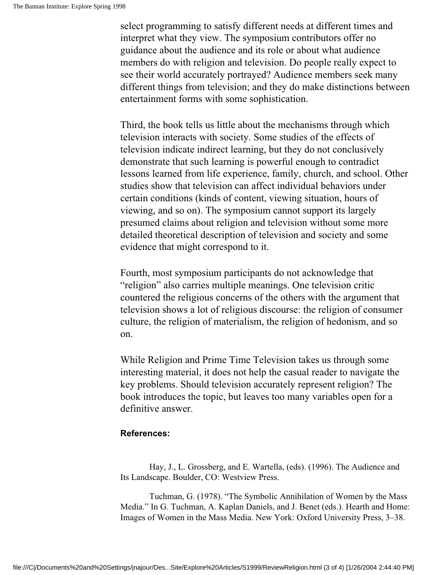select programming to satisfy different needs at different times and interpret what they view. The symposium contributors offer no guidance about the audience and its role or about what audience members do with religion and television. Do people really expect to see their world accurately portrayed? Audience members seek many different things from television; and they do make distinctions between entertainment forms with some sophistication.

Third, the book tells us little about the mechanisms through which television interacts with society. Some studies of the effects of television indicate indirect learning, but they do not conclusively demonstrate that such learning is powerful enough to contradict lessons learned from life experience, family, church, and school. Other studies show that television can affect individual behaviors under certain conditions (kinds of content, viewing situation, hours of viewing, and so on). The symposium cannot support its largely presumed claims about religion and television without some more detailed theoretical description of television and society and some evidence that might correspond to it.

Fourth, most symposium participants do not acknowledge that "religion" also carries multiple meanings. One television critic countered the religious concerns of the others with the argument that television shows a lot of religious discourse: the religion of consumer culture, the religion of materialism, the religion of hedonism, and so on.

While Religion and Prime Time Television takes us through some interesting material, it does not help the casual reader to navigate the key problems. Should television accurately represent religion? The book introduces the topic, but leaves too many variables open for a definitive answer.

#### **References:**

Hay, J., L. Grossberg, and E. Wartella, (eds). (1996). The Audience and Its Landscape. Boulder, CO: Westview Press.

Tuchman, G. (1978). "The Symbolic Annihilation of Women by the Mass Media." In G. Tuchman, A. Kaplan Daniels, and J. Benet (eds.). Hearth and Home: Images of Women in the Mass Media. New York: Oxford University Press, 3–38.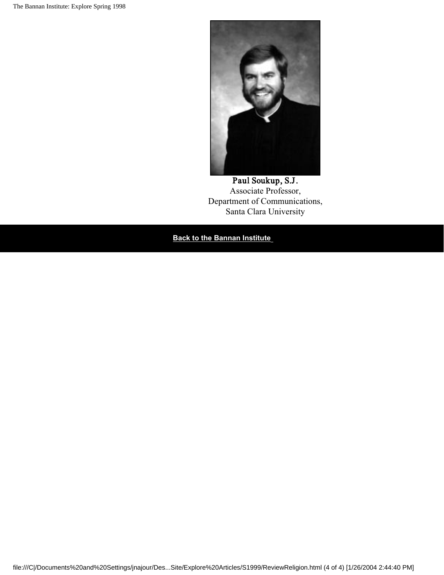

Paul Soukup, S.J. Associate Professor, Department of Communications, Santa Clara University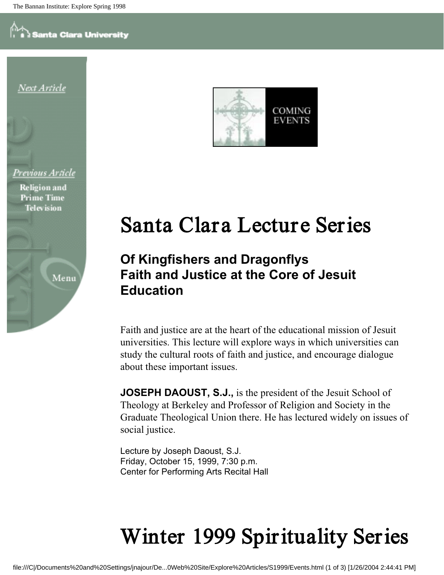



**Religion** and **Prime Time Television** 

Menu



## Santa Clara Lecture Series

### **Of Kingfishers and Dragonflys Faith and Justice at the Core of Jesuit Education**

Faith and justice are at the heart of the educational mission of Jesuit universities. This lecture will explore ways in which universities can study the cultural roots of faith and justice, and encourage dialogue about these important issues.

**JOSEPH DAOUST, S.J.,** is the president of the Jesuit School of Theology at Berkeley and Professor of Religion and Society in the Graduate Theological Union there. He has lectured widely on issues of social justice.

Lecture by Joseph Daoust, S.J. Friday, October 15, 1999, 7:30 p.m. Center for Performing Arts Recital Hall

## Winter 1999 Spirituality Series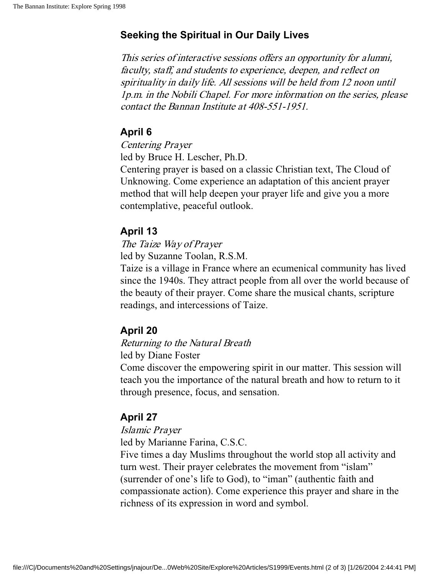### **Seeking the Spiritual in Our Daily Lives**

This series of interactive sessions offers an opportunity for alumni, faculty, staff, and students to experience, deepen, and reflect on spirituality in daily life. All sessions will be held from 12 noon until 1p.m. in the Nobili Chapel. For more information on the series, please contact the Bannan Institute at 408-551-1951.

### **April 6**

Centering Prayer

led by Bruce H. Lescher, Ph.D.

Centering prayer is based on a classic Christian text, The Cloud of Unknowing. Come experience an adaptation of this ancient prayer method that will help deepen your prayer life and give you a more contemplative, peaceful outlook.

### **April 13**

The Taize Way of Prayer

led by Suzanne Toolan, R.S.M.

Taize is a village in France where an ecumenical community has lived since the 1940s. They attract people from all over the world because of the beauty of their prayer. Come share the musical chants, scripture readings, and intercessions of Taize.

### **April 20**

#### Returning to the Natural Breath

led by Diane Foster

Come discover the empowering spirit in our matter. This session will teach you the importance of the natural breath and how to return to it through presence, focus, and sensation.

### **April 27**

#### Islamic Prayer

led by Marianne Farina, C.S.C.

Five times a day Muslims throughout the world stop all activity and turn west. Their prayer celebrates the movement from "islam" (surrender of one's life to God), to "iman" (authentic faith and compassionate action). Come experience this prayer and share in the richness of its expression in word and symbol.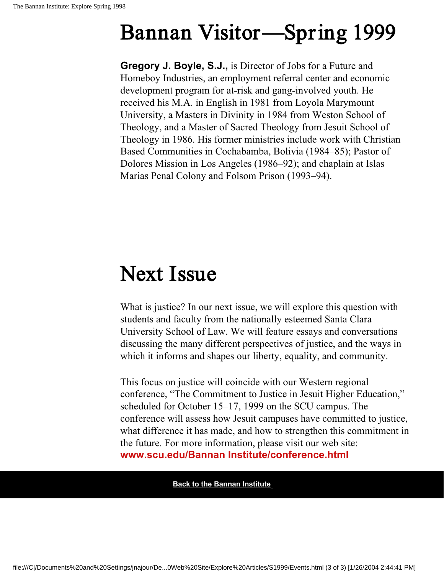## Bannan Visitor—Spring 1999

**Gregory J. Boyle, S.J.,** is Director of Jobs for a Future and Homeboy Industries, an employment referral center and economic development program for at-risk and gang-involved youth. He received his M.A. in English in 1981 from Loyola Marymount University, a Masters in Divinity in 1984 from Weston School of Theology, and a Master of Sacred Theology from Jesuit School of Theology in 1986. His former ministries include work with Christian Based Communities in Cochabamba, Bolivia (1984–85); Pastor of Dolores Mission in Los Angeles (1986–92); and chaplain at Islas Marias Penal Colony and Folsom Prison (1993–94).

## Next Issue

What is justice? In our next issue, we will explore this question with students and faculty from the nationally esteemed Santa Clara University School of Law. We will feature essays and conversations discussing the many different perspectives of justice, and the ways in which it informs and shapes our liberty, equality, and community.

This focus on justice will coincide with our Western regional conference, "The Commitment to Justice in Jesuit Higher Education," scheduled for October 15–17, 1999 on the SCU campus. The conference will assess how Jesuit campuses have committed to justice, what difference it has made, and how to strengthen this commitment in the future. For more information, please visit our web site: **www.scu.edu/Bannan Institute/conference.html**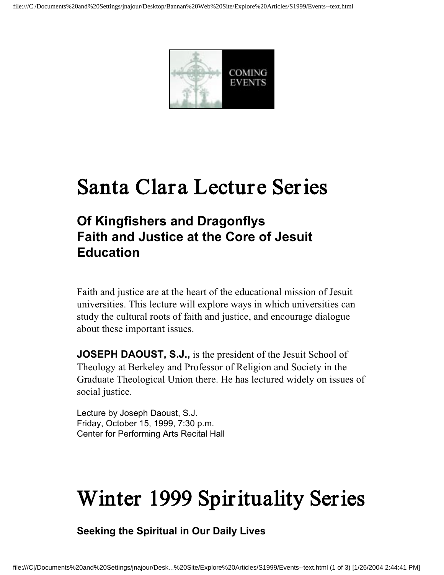

## Santa Clara Lecture Series

### **Of Kingfishers and Dragonflys Faith and Justice at the Core of Jesuit Education**

Faith and justice are at the heart of the educational mission of Jesuit universities. This lecture will explore ways in which universities can study the cultural roots of faith and justice, and encourage dialogue about these important issues.

**JOSEPH DAOUST, S.J.,** is the president of the Jesuit School of Theology at Berkeley and Professor of Religion and Society in the Graduate Theological Union there. He has lectured widely on issues of social justice.

Lecture by Joseph Daoust, S.J. Friday, October 15, 1999, 7:30 p.m. Center for Performing Arts Recital Hall

## Winter 1999 Spirituality Series

**Seeking the Spiritual in Our Daily Lives**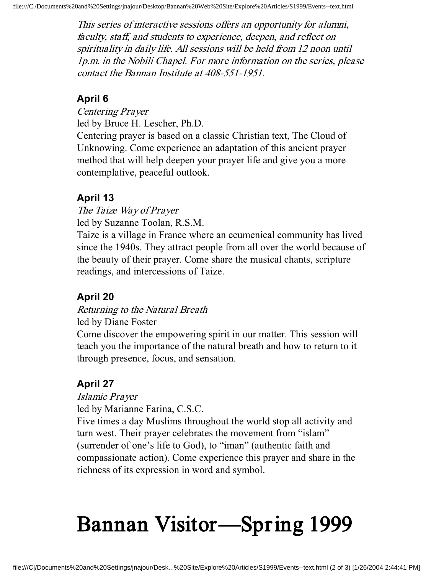This series of interactive sessions offers an opportunity for alumni, faculty, staff, and students to experience, deepen, and reflect on spirituality in daily life. All sessions will be held from 12 noon until 1p.m. in the Nobili Chapel. For more information on the series, please contact the Bannan Institute at 408-551-1951.

### **April 6**

Centering Prayer

led by Bruce H. Lescher, Ph.D.

Centering prayer is based on a classic Christian text, The Cloud of Unknowing. Come experience an adaptation of this ancient prayer method that will help deepen your prayer life and give you a more contemplative, peaceful outlook.

### **April 13**

The Taize Way of Prayer

led by Suzanne Toolan, R.S.M.

Taize is a village in France where an ecumenical community has lived since the 1940s. They attract people from all over the world because of the beauty of their prayer. Come share the musical chants, scripture readings, and intercessions of Taize.

### **April 20**

Returning to the Natural Breath

led by Diane Foster

Come discover the empowering spirit in our matter. This session will teach you the importance of the natural breath and how to return to it through presence, focus, and sensation.

### **April 27**

Islamic Prayer

led by Marianne Farina, C.S.C.

Five times a day Muslims throughout the world stop all activity and turn west. Their prayer celebrates the movement from "islam" (surrender of one's life to God), to "iman" (authentic faith and compassionate action). Come experience this prayer and share in the richness of its expression in word and symbol.

# Bannan Visitor—Spring 1999